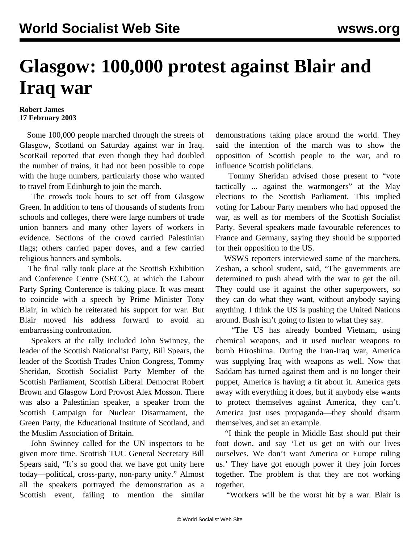## **Glasgow: 100,000 protest against Blair and Iraq war**

## **Robert James 17 February 2003**

 Some 100,000 people marched through the streets of Glasgow, Scotland on Saturday against war in Iraq. ScotRail reported that even though they had doubled the number of trains, it had not been possible to cope with the huge numbers, particularly those who wanted to travel from Edinburgh to join the march.

 The crowds took hours to set off from Glasgow Green. In addition to tens of thousands of students from schools and colleges, there were large numbers of trade union banners and many other layers of workers in evidence. Sections of the crowd carried Palestinian flags; others carried paper doves, and a few carried religious banners and symbols.

 The final rally took place at the Scottish Exhibition and Conference Centre (SECC), at which the Labour Party Spring Conference is taking place. It was meant to coincide with a speech by Prime Minister Tony Blair, in which he reiterated his support for war. But Blair moved his address forward to avoid an embarrassing confrontation.

 Speakers at the rally included John Swinney, the leader of the Scottish Nationalist Party, Bill Spears, the leader of the Scottish Trades Union Congress, Tommy Sheridan, Scottish Socialist Party Member of the Scottish Parliament, Scottish Liberal Democrat Robert Brown and Glasgow Lord Provost Alex Mosson. There was also a Palestinian speaker, a speaker from the Scottish Campaign for Nuclear Disarmament, the Green Party, the Educational Institute of Scotland, and the Muslim Association of Britain.

 John Swinney called for the UN inspectors to be given more time. Scottish TUC General Secretary Bill Spears said, "It's so good that we have got unity here today—political, cross-party, non-party unity." Almost all the speakers portrayed the demonstration as a Scottish event, failing to mention the similar demonstrations taking place around the world. They said the intention of the march was to show the opposition of Scottish people to the war, and to influence Scottish politicians.

 Tommy Sheridan advised those present to "vote tactically ... against the warmongers" at the May elections to the Scottish Parliament. This implied voting for Labour Party members who had opposed the war, as well as for members of the Scottish Socialist Party. Several speakers made favourable references to France and Germany, saying they should be supported for their opposition to the US.

 WSWS reporters interviewed some of the marchers. Zeshan, a school student, said, "The governments are determined to push ahead with the war to get the oil. They could use it against the other superpowers, so they can do what they want, without anybody saying anything. I think the US is pushing the United Nations around. Bush isn't going to listen to what they say.

 "The US has already bombed Vietnam, using chemical weapons, and it used nuclear weapons to bomb Hiroshima. During the Iran-Iraq war, America was supplying Iraq with weapons as well. Now that Saddam has turned against them and is no longer their puppet, America is having a fit about it. America gets away with everything it does, but if anybody else wants to protect themselves against America, they can't. America just uses propaganda—they should disarm themselves, and set an example.

 "I think the people in Middle East should put their foot down, and say 'Let us get on with our lives ourselves. We don't want America or Europe ruling us.' They have got enough power if they join forces together. The problem is that they are not working together.

"Workers will be the worst hit by a war. Blair is